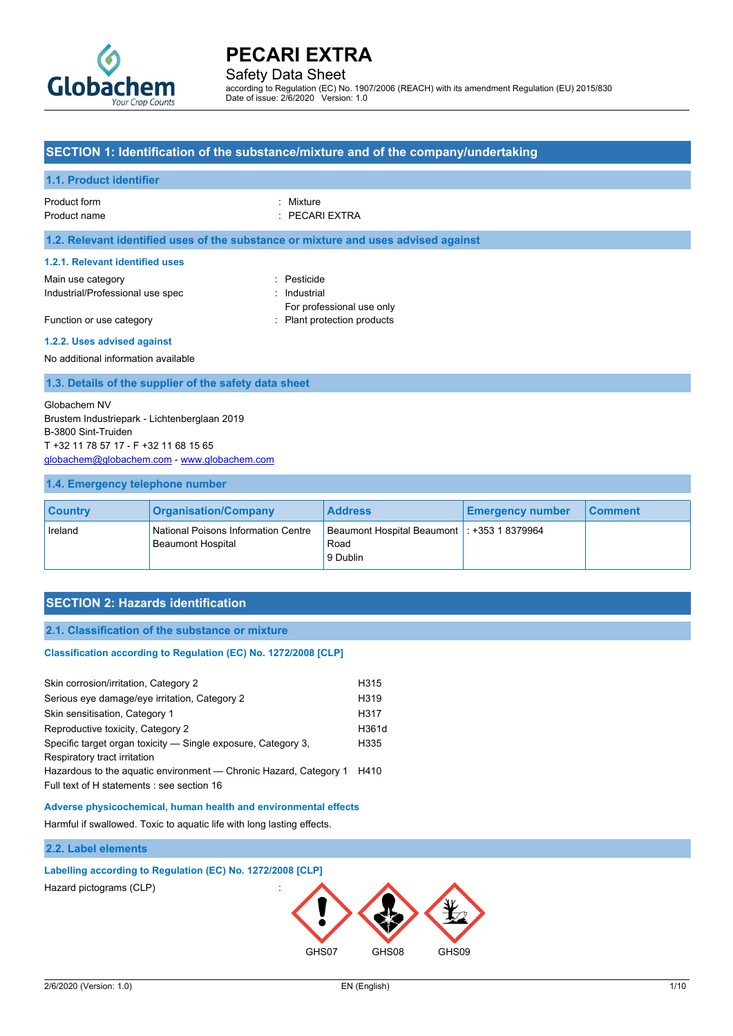

Safety Data Sheet

according to Regulation (EC) No. 1907/2006 (REACH) with its amendment Regulation (EU) 2015/830 Date of issue: 2/6/2020 Version: 1.0

### **SECTION 1: Identification of the substance/mixture and of the company/undertaking**

#### **1.1. Product identifier**

# Product form **: Mixture** : Mixture

Product name : PECARI EXTRA

#### **1.2. Relevant identified uses of the substance or mixture and uses advised against**

#### **1.2.1. Relevant identified uses**

Main use category **in the set of the COV** and the Pesticide Industrial/Professional use spec : Industrial

For professional use only Function or use category **Exercise 20** Flant protection products

# **1.2.2. Uses advised against**

No additional information available

#### **1.3. Details of the supplier of the safety data sheet**

Globachem NV Brustem Industriepark - Lichtenberglaan 2019 B-3800 Sint-Truiden T +32 11 78 57 17 - F +32 11 68 15 65 [globachem@globachem.com](mailto:globachem@globachem.com) - <www.globachem.com>

#### **1.4. Emergency telephone number**

| <b>Country</b> | <b>Organisation/Company</b>                                            | <b>Address</b>                                                    | <b>Emergency number</b> | <b>Comment</b> |
|----------------|------------------------------------------------------------------------|-------------------------------------------------------------------|-------------------------|----------------|
| Ireland        | <b>National Poisons Information Centre</b><br><b>Beaumont Hospital</b> | Beaumont Hospital Beaumont   : +353 1 8379964<br>Road<br>9 Dublin |                         |                |

### **SECTION 2: Hazards identification**

#### **2.1. Classification of the substance or mixture**

#### Classification according to Regulation (EC) No. 1272/2008 [CLP]

| Skin corrosion/irritation, Category 2                                                                           | H315             |
|-----------------------------------------------------------------------------------------------------------------|------------------|
| Serious eye damage/eye irritation, Category 2                                                                   | H319             |
| Skin sensitisation, Category 1                                                                                  | H317             |
| Reproductive toxicity, Category 2                                                                               | H361d            |
| Specific target organ toxicity — Single exposure, Category 3,<br>Respiratory tract irritation                   | H <sub>335</sub> |
| Hazardous to the aguatic environment - Chronic Hazard, Category 1<br>Full text of H statements : see section 16 | H410             |
|                                                                                                                 |                  |

#### **Adverse physicochemical, human health and environmental effects**

Harmful if swallowed. Toxic to aquatic life with long lasting effects.

#### **2.2. Label elements**

### **Labelling according to Regulation (EC) No. 1272/2008 [CLP]**

Hazard pictograms (CLP) :

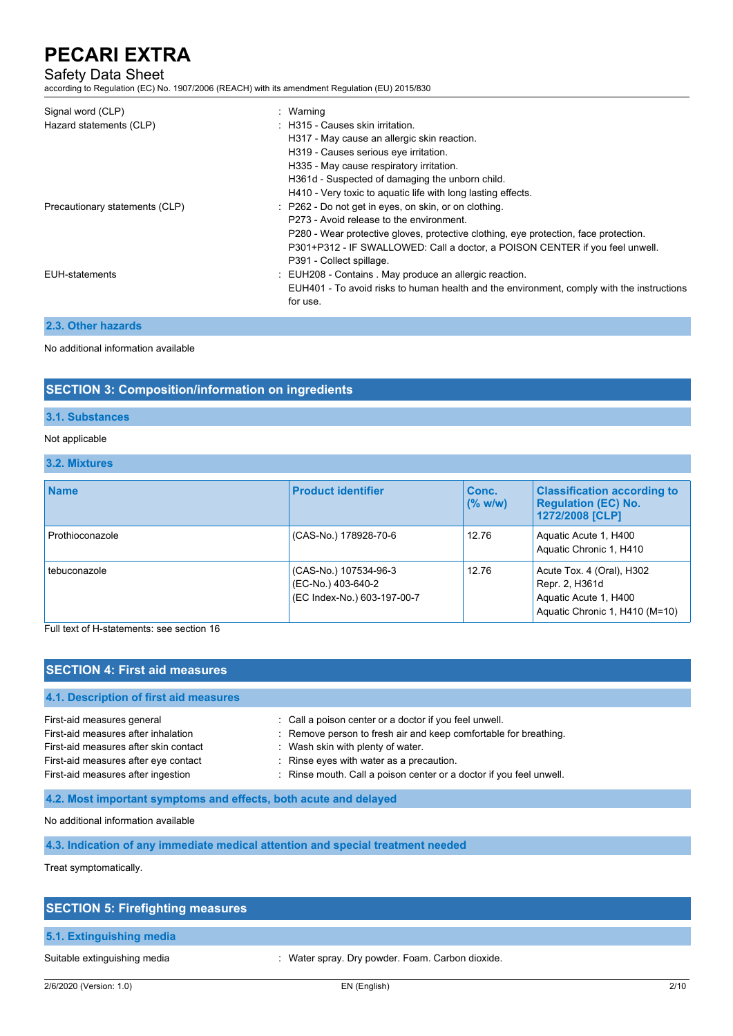# Safety Data Sheet

according to Regulation (EC) No. 1907/2006 (REACH) with its amendment Regulation (EU) 2015/830

| Signal word (CLP)<br>Hazard statements (CLP) | : Warning<br>: H315 - Causes skin irritation.<br>H317 - May cause an allergic skin reaction.<br>H319 - Causes serious eye irritation.<br>H335 - May cause respiratory irritation.<br>H361d - Suspected of damaging the unborn child.<br>H410 - Very toxic to aquatic life with long lasting effects.  |
|----------------------------------------------|-------------------------------------------------------------------------------------------------------------------------------------------------------------------------------------------------------------------------------------------------------------------------------------------------------|
| Precautionary statements (CLP)               | : P262 - Do not get in eyes, on skin, or on clothing.<br>P273 - Avoid release to the environment.<br>P280 - Wear protective gloves, protective clothing, eye protection, face protection.<br>P301+P312 - IF SWALLOWED: Call a doctor, a POISON CENTER if you feel unwell.<br>P391 - Collect spillage. |
| <b>EUH-statements</b>                        | : EUH208 - Contains . May produce an allergic reaction.<br>EUH401 - To avoid risks to human health and the environment, comply with the instructions<br>for use.                                                                                                                                      |

#### **2.3. Other hazards**

No additional information available

### **SECTION 3: Composition/information on ingredients**

#### **3.1. Substances**

#### Not applicable

#### **3.2. Mixtures**

| <b>Name</b>     | <b>Product identifier</b>                                                  | Conc.<br>$(%$ w/w) | <b>Classification according to</b><br><b>Regulation (EC) No.</b><br>1272/2008 [CLP]                    |
|-----------------|----------------------------------------------------------------------------|--------------------|--------------------------------------------------------------------------------------------------------|
| Prothioconazole | (CAS-No.) 178928-70-6                                                      | 12.76              | Aquatic Acute 1, H400<br>Aquatic Chronic 1, H410                                                       |
| tebuconazole    | (CAS-No.) 107534-96-3<br>(EC-No.) 403-640-2<br>(EC Index-No.) 603-197-00-7 | 12.76              | Acute Tox. 4 (Oral), H302<br>Repr. 2, H361d<br>Aquatic Acute 1, H400<br>Aquatic Chronic 1, H410 (M=10) |

Full text of H-statements: see section 16

# **SECTION 4: First aid measures**

# **4.1. Description of first aid measures** First-aid measures general in the state of call a poison center or a doctor if you feel unwell. First-aid measures after inhalation : Remove person to fresh air and keep comfortable for breathing. First-aid measures after skin contact : Wash skin with plenty of water. First-aid measures after eye contact : Rinse eyes with water as a precaution. First-aid measures after ingestion : Rinse mouth. Call a poison center or a doctor if you feel unwell.

**4.2. Most important symptoms and effects, both acute and delayed**

No additional information available

**4.3. Indication of any immediate medical attention and special treatment needed**

Treat symptomatically.

# **SECTION 5: Firefighting measures**

#### **5.1. Extinguishing media**

Suitable extinguishing media : Water spray. Dry powder. Foam. Carbon dioxide.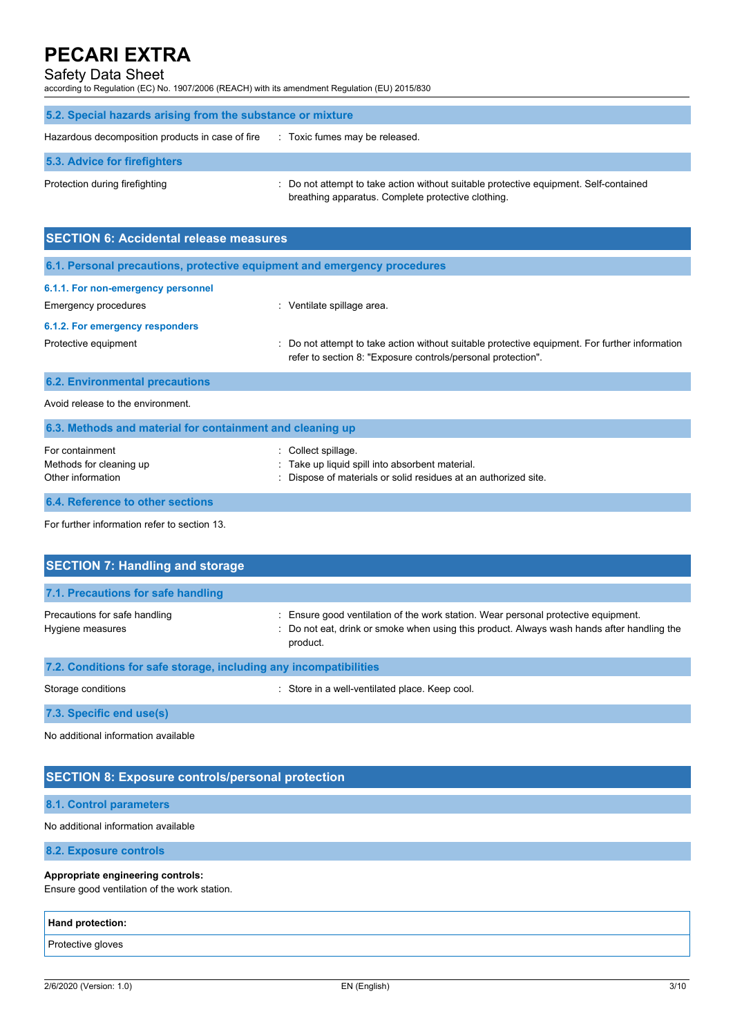### Safety Data Sheet

according to Regulation (EC) No. 1907/2006 (REACH) with its amendment Regulation (EU) 2015/830

| 5.2. Special hazards arising from the substance or mixture |                                                                                                                                             |  |  |
|------------------------------------------------------------|---------------------------------------------------------------------------------------------------------------------------------------------|--|--|
| Hazardous decomposition products in case of fire           | : Toxic fumes may be released.                                                                                                              |  |  |
| 5.3. Advice for firefighters                               |                                                                                                                                             |  |  |
| Protection during firefighting                             | : Do not attempt to take action without suitable protective equipment. Self-contained<br>breathing apparatus. Complete protective clothing. |  |  |

| <b>SECTION 6: Accidental release measures</b>                            |                                                                                                                                                                |
|--------------------------------------------------------------------------|----------------------------------------------------------------------------------------------------------------------------------------------------------------|
| 6.1. Personal precautions, protective equipment and emergency procedures |                                                                                                                                                                |
| 6.1.1. For non-emergency personnel<br>Emergency procedures               | : Ventilate spillage area.                                                                                                                                     |
| 6.1.2. For emergency responders                                          |                                                                                                                                                                |
| Protective equipment                                                     | : Do not attempt to take action without suitable protective equipment. For further information<br>refer to section 8: "Exposure controls/personal protection". |
| <b>6.2. Environmental precautions</b>                                    |                                                                                                                                                                |
| Avoid release to the environment.                                        |                                                                                                                                                                |
| 6.3. Methods and material for containment and cleaning up                |                                                                                                                                                                |
| For containment<br>Methods for cleaning up<br>Other information          | Collect spillage.<br>Take up liquid spill into absorbent material.<br>Dispose of materials or solid residues at an authorized site.                            |

**6.4. Reference to other sections**

For further information refer to section 13.

| <b>SECTION 7: Handling and storage</b>                            |                                                                                                                                                                                              |  |  |
|-------------------------------------------------------------------|----------------------------------------------------------------------------------------------------------------------------------------------------------------------------------------------|--|--|
| 7.1. Precautions for safe handling                                |                                                                                                                                                                                              |  |  |
| Precautions for safe handling<br>Hygiene measures                 | : Ensure good ventilation of the work station. Wear personal protective equipment.<br>: Do not eat, drink or smoke when using this product. Always wash hands after handling the<br>product. |  |  |
| 7.2. Conditions for safe storage, including any incompatibilities |                                                                                                                                                                                              |  |  |
| Storage conditions                                                | : Store in a well-ventilated place. Keep cool.                                                                                                                                               |  |  |
| 7.3. Specific end use(s)                                          |                                                                                                                                                                                              |  |  |

No additional information available

### **SECTION 8: Exposure controls/personal protection**

#### **8.1. Control parameters**

#### No additional information available

**8.2. Exposure controls**

#### **Appropriate engineering controls:**

Ensure good ventilation of the work station.

| <b>Hand protection:</b> |  |
|-------------------------|--|
| Protective gloves       |  |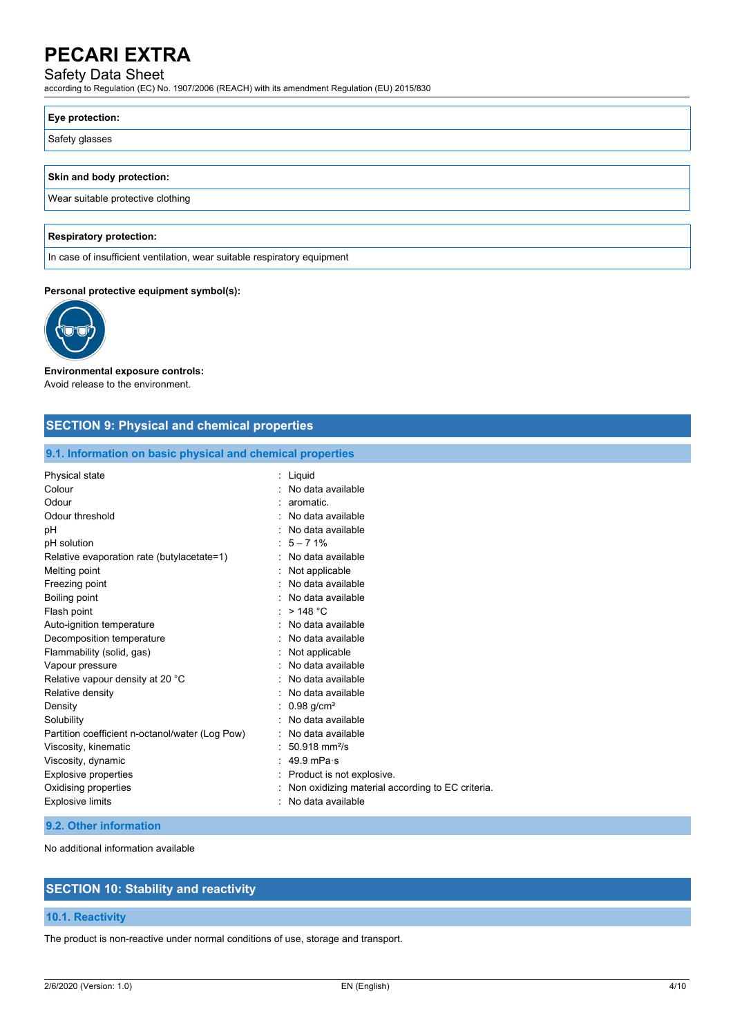# Safety Data Sheet

according to Regulation (EC) No. 1907/2006 (REACH) with its amendment Regulation (EU) 2015/830

# **Eye protection:**

Safety glasses

#### **Skin and body protection:**

Wear suitable protective clothing

### **Respiratory protection:**

In case of insufficient ventilation, wear suitable respiratory equipment

#### **Personal protective equipment symbol(s):**



# **Environmental exposure controls:**

Avoid release to the environment.

# **SECTION 9: Physical and chemical properties**

#### **9.1. Information on basic physical and chemical properties**

| Physical state                                  | Liquid                                           |
|-------------------------------------------------|--------------------------------------------------|
| Colour                                          | No data available                                |
| Odour                                           | aromatic.                                        |
| Odour threshold                                 | No data available                                |
| рH                                              | No data available                                |
| pH solution                                     | $5 - 71%$                                        |
| Relative evaporation rate (butylacetate=1)      | No data available                                |
| Melting point                                   | Not applicable                                   |
| Freezing point                                  | No data available                                |
| Boiling point                                   | No data available                                |
| Flash point                                     | >148 °C                                          |
| Auto-ignition temperature                       | No data available                                |
| Decomposition temperature                       | No data available                                |
| Flammability (solid, gas)                       | Not applicable                                   |
| Vapour pressure                                 | No data available                                |
| Relative vapour density at 20 °C                | No data available                                |
| Relative density                                | No data available                                |
| Density                                         | $0.98$ g/cm <sup>3</sup>                         |
| Solubility                                      | No data available                                |
| Partition coefficient n-octanol/water (Log Pow) | No data available                                |
| Viscosity, kinematic                            | $50.918$ mm <sup>2</sup> /s                      |
| Viscosity, dynamic                              | 49.9 mPa $\cdot$ s                               |
| <b>Explosive properties</b>                     | Product is not explosive.                        |
| Oxidising properties                            | Non oxidizing material according to EC criteria. |
| <b>Explosive limits</b>                         | No data available                                |
|                                                 |                                                  |

#### **9.2. Other information**

No additional information available

# **SECTION 10: Stability and reactivity**

#### **10.1. Reactivity**

The product is non-reactive under normal conditions of use, storage and transport.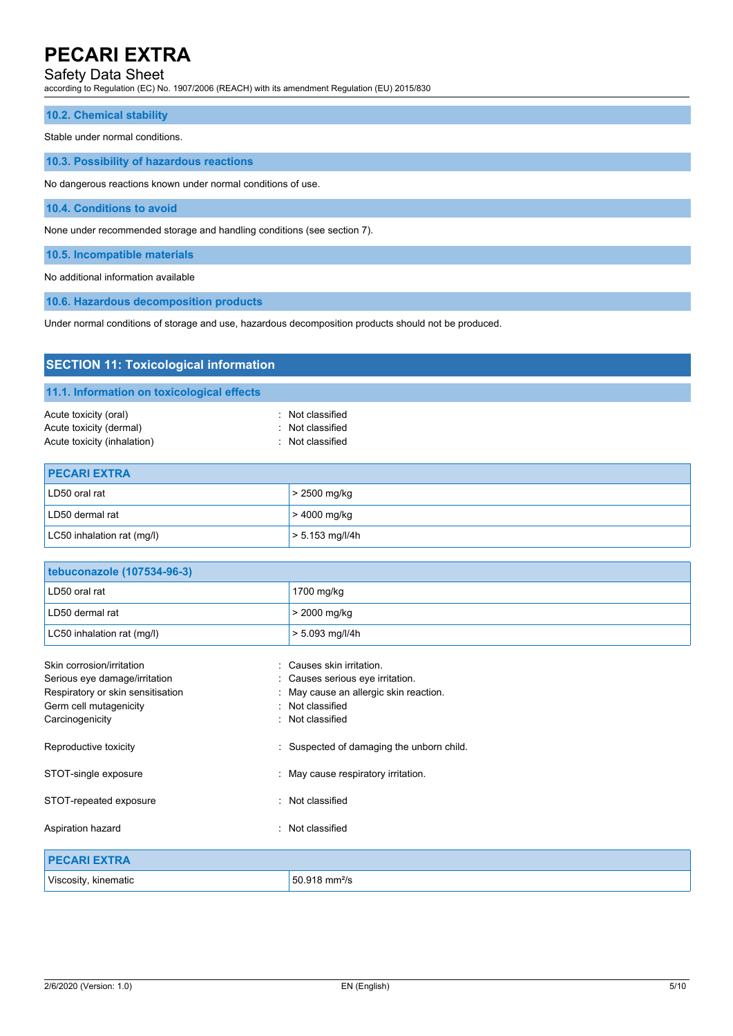# Safety Data Sheet

according to Regulation (EC) No. 1907/2006 (REACH) with its amendment Regulation (EU) 2015/830

#### **10.2. Chemical stability**

Stable under normal conditions.

**10.3. Possibility of hazardous reactions**

No dangerous reactions known under normal conditions of use.

**10.4. Conditions to avoid**

None under recommended storage and handling conditions (see section 7).

LC50 inhalation rat (mg/l)  $\vert$  > 5.153 mg/l/4h

**10.5. Incompatible materials**

No additional information available

**10.6. Hazardous decomposition products**

Under normal conditions of storage and use, hazardous decomposition products should not be produced.

| <b>SECTION 11: Toxicological information</b>                                    |                                                          |  |  |
|---------------------------------------------------------------------------------|----------------------------------------------------------|--|--|
| 11.1. Information on toxicological effects                                      |                                                          |  |  |
| Acute toxicity (oral)<br>Acute toxicity (dermal)<br>Acute toxicity (inhalation) | : Not classified<br>: Not classified<br>: Not classified |  |  |
| <b>PECARI EXTRA</b>                                                             |                                                          |  |  |
| LD50 oral rat                                                                   | > 2500 mg/kg                                             |  |  |
| LD50 dermal rat                                                                 | > 4000 mg/kg                                             |  |  |

| tebuconazole (107534-96-3)        |                                           |
|-----------------------------------|-------------------------------------------|
| LD50 oral rat                     | 1700 mg/kg                                |
| LD50 dermal rat                   | > 2000 mg/kg                              |
| LC50 inhalation rat (mg/l)        | $> 5.093$ mg/l/4h                         |
| Skin corrosion/irritation         | Causes skin irritation.<br>$\sim$         |
| Serious eye damage/irritation     | : Causes serious eye irritation.          |
| Respiratory or skin sensitisation | May cause an allergic skin reaction.      |
| Germ cell mutagenicity            | : Not classified                          |
| Carcinogenicity                   | : Not classified                          |
| Reproductive toxicity             | : Suspected of damaging the unborn child. |
| STOT-single exposure              | : May cause respiratory irritation.       |
| STOT-repeated exposure            | : Not classified                          |
| Aspiration hazard                 | : Not classified                          |
| <b>PECARI EXTRA</b>               |                                           |
| Viscosity, kinematic              | 50.918 mm <sup>2</sup> /s                 |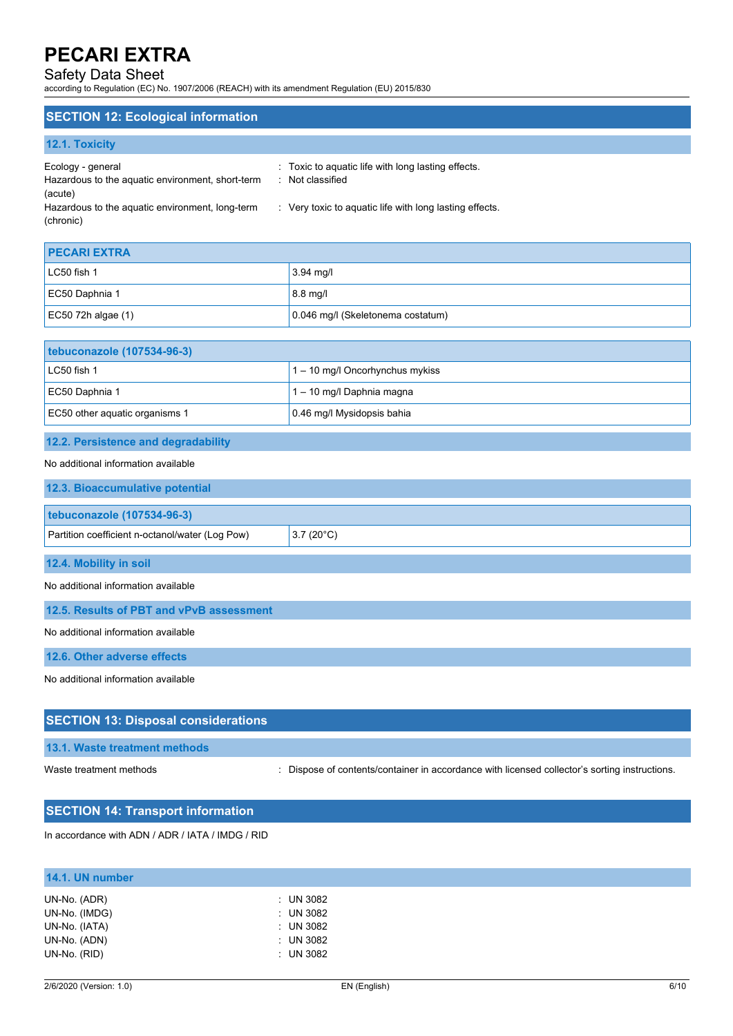# Safety Data Sheet

according to Regulation (EC) No. 1907/2006 (REACH) with its amendment Regulation (EU) 2015/830

### **SECTION 12: Ecological information**

| <b>12.1. Toxicity</b>                                                 |                                                                        |
|-----------------------------------------------------------------------|------------------------------------------------------------------------|
| Ecology - general<br>Hazardous to the aquatic environment, short-term | : Toxic to aquatic life with long lasting effects.<br>: Not classified |
| (acute)                                                               |                                                                        |
| Hazardous to the aquatic environment, long-term<br>(chronic)          | : Very toxic to aquatic life with long lasting effects.                |

| <b>PECARI EXTRA</b>  |                                   |
|----------------------|-----------------------------------|
| $LC50$ fish 1        | $3.94 \text{ mq/l}$               |
| EC50 Daphnia 1       | $8.8$ mg/l                        |
| $EC50$ 72h algae (1) | 0.046 mg/l (Skeletonema costatum) |

| tebuconazole (107534-96-3)     |                                   |
|--------------------------------|-----------------------------------|
| LC50 fish 1                    | $1 - 10$ mg/l Oncorhynchus mykiss |
| EC50 Daphnia 1                 | 1 - 10 mg/l Daphnia magna         |
| EC50 other aguatic organisms 1 | 0.46 mg/l Mysidopsis bahia        |

# **12.2. Persistence and degradability**

### No additional information available

| 12.3. Bioaccumulative potential                 |                    |
|-------------------------------------------------|--------------------|
| <b>tebuconazole (107534-96-3)</b>               |                    |
| Partition coefficient n-octanol/water (Log Pow) | $3.7(20^{\circ}C)$ |
| 12.4. Mobility in soil                          |                    |

No additional information available

**12.5. Results of PBT and vPvB assessment**

No additional information available

**12.6. Other adverse effects**

No additional information available

# **SECTION 13: Disposal considerations 13.1. Waste treatment methods** Waste treatment methods : Dispose of contents/container in accordance with licensed collector's sorting instructions.

# **SECTION 14: Transport information**

In accordance with ADN / ADR / IATA / IMDG / RID

| 14.1. UN number                |                            |
|--------------------------------|----------------------------|
| UN-No. (ADR)                   | $\therefore$ UN 3082       |
| UN-No. (IMDG)<br>UN-No. (IATA) | $:$ UN 3082<br>$:$ UN 3082 |
| UN-No. (ADN)                   | $:$ UN 3082                |
| UN-No. (RID)                   | $:$ UN 3082                |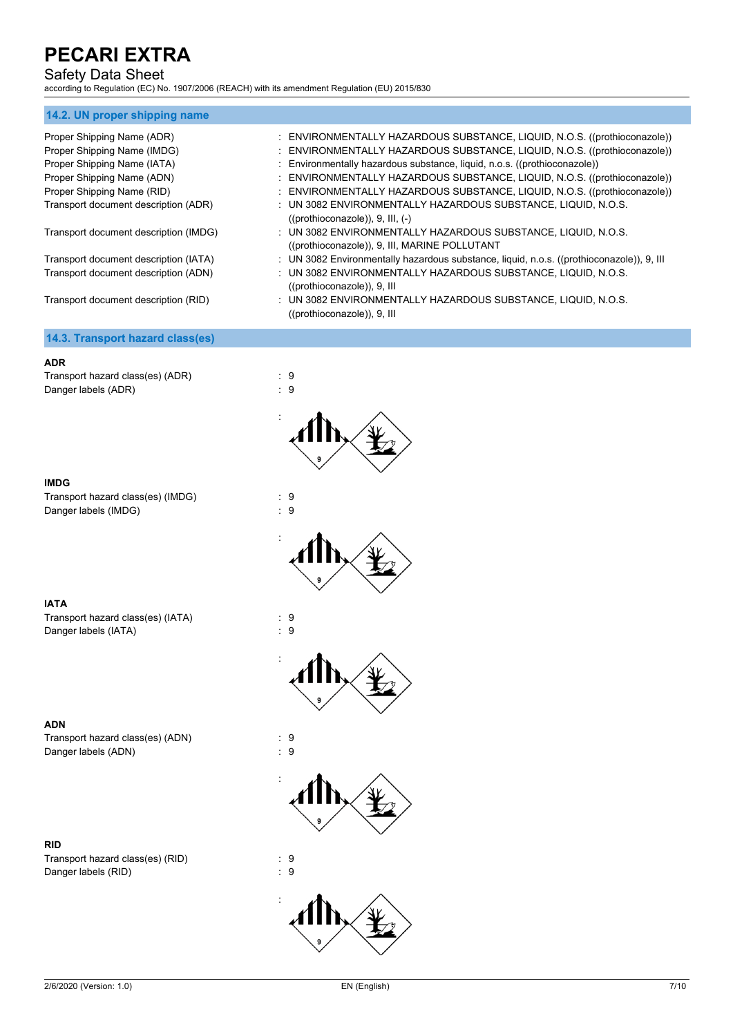# Safety Data Sheet

according to Regulation (EC) No. 1907/2006 (REACH) with its amendment Regulation (EU) 2015/830

# **14.2. UN proper shipping name** Proper Shipping Name (ADR) : ENVIRONMENTALLY HAZARDOUS SUBSTANCE, LIQUID, N.O.S. ((prothioconazole)) Proper Shipping Name (IMDG) : ENVIRONMENTALLY HAZARDOUS SUBSTANCE, LIQUID, N.O.S. ((prothioconazole)) Proper Shipping Name (IATA) : Environmentally hazardous substance, liquid, n.o.s. ((prothioconazole)) Proper Shipping Name (ADN) : ENVIRONMENTALLY HAZARDOUS SUBSTANCE, LIQUID, N.O.S. ((prothioconazole)) Proper Shipping Name (RID) : ENVIRONMENTALLY HAZARDOUS SUBSTANCE, LIQUID, N.O.S. ((prothioconazole)) Transport document description (ADR) : UN 3082 ENVIRONMENTALLY HAZARDOUS SUBSTANCE, LIQUID, N.O.S. ((prothioconazole)), 9, III, (-) Transport document description (IMDG) : UN 3082 ENVIRONMENTALLY HAZARDOUS SUBSTANCE, LIQUID, N.O.S. ((prothioconazole)), 9, III, MARINE POLLUTANT Transport document description (IATA) : UN 3082 Environmentally hazardous substance, liquid, n.o.s. ((prothioconazole)), 9, III Transport document description (ADN) : UN 3082 ENVIRONMENTALLY HAZARDOUS SUBSTANCE, LIQUID, N.O.S. ((prothioconazole)), 9, III Transport document description (RID) : UN 3082 ENVIRONMENTALLY HAZARDOUS SUBSTANCE, LIQUID, N.O.S. ((prothioconazole)), 9, III **14.3. Transport hazard class(es)**

#### **ADR**

Transport hazard class(es) (ADR) : 9 Danger labels (ADR) : 9



Transport hazard class(es) (IMDG) : 9 Danger labels (IMDG)  $\qquad \qquad$  : 9



:



Transport hazard class(es) (IATA) : 9 Danger labels (IATA) : 9







**ADN**

Transport hazard class(es) (ADN) : 9 Danger labels (ADN) : 9

### **RID**

Transport hazard class(es) (RID) : 9 Danger labels (RID) : 9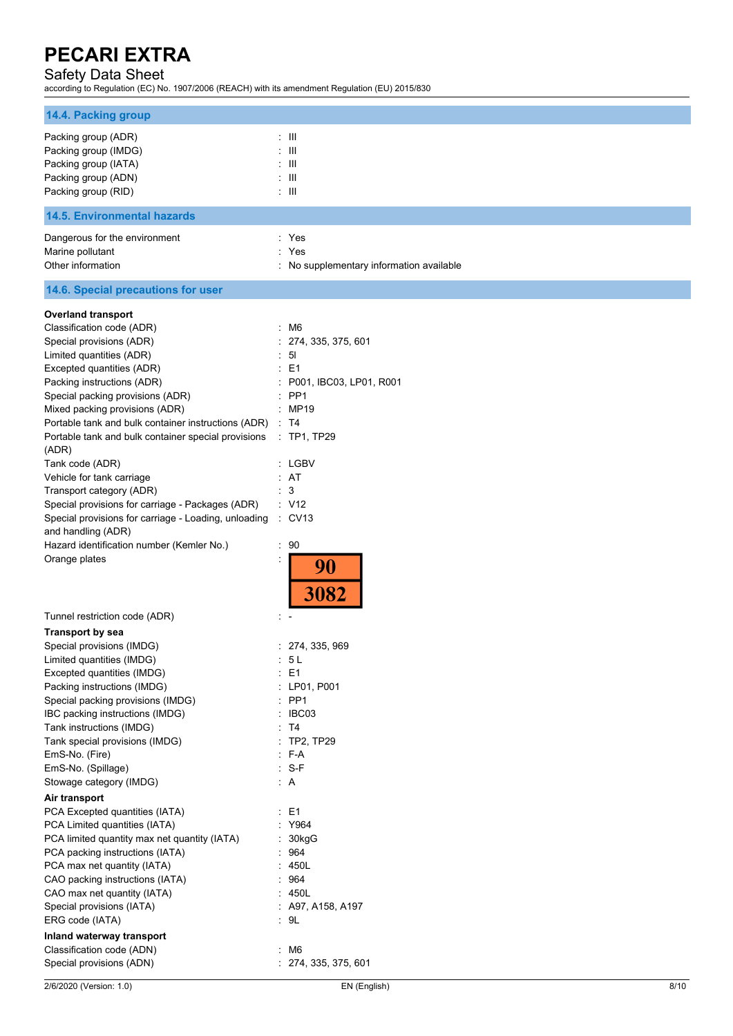# Safety Data Sheet

according to Regulation (EC) No. 1907/2006 (REACH) with its amendment Regulation (EU) 2015/830

| 14.4. Packing group                                                                                        |                                          |
|------------------------------------------------------------------------------------------------------------|------------------------------------------|
| Packing group (ADR)                                                                                        | : III                                    |
| Packing group (IMDG)                                                                                       | -111                                     |
| Packing group (IATA)                                                                                       | Ш                                        |
| Packing group (ADN)                                                                                        | $: \mathbb{H}$                           |
| Packing group (RID)                                                                                        | $\pm$ III                                |
| <b>14.5. Environmental hazards</b>                                                                         |                                          |
| Dangerous for the environment                                                                              | : Yes                                    |
| Marine pollutant                                                                                           | Yes                                      |
| Other information                                                                                          | : No supplementary information available |
| 14.6. Special precautions for user                                                                         |                                          |
| <b>Overland transport</b>                                                                                  |                                          |
| Classification code (ADR)                                                                                  | $\cdot$ M6                               |
| Special provisions (ADR)                                                                                   | 274, 335, 375, 601                       |
| Limited quantities (ADR)                                                                                   | 5 <sub>l</sub><br>÷                      |
| Excepted quantities (ADR)                                                                                  | E <sub>1</sub>                           |
| Packing instructions (ADR)                                                                                 | P001, IBC03, LP01, R001                  |
| Special packing provisions (ADR)                                                                           | PP <sub>1</sub><br>÷                     |
| Mixed packing provisions (ADR)                                                                             | : MP19                                   |
| Portable tank and bulk container instructions (ADR)<br>Portable tank and bulk container special provisions | T4<br>$:$ TP1, TP29                      |
| (ADR)                                                                                                      |                                          |
| Tank code (ADR)                                                                                            | : LGBV                                   |
| Vehicle for tank carriage                                                                                  | : AT                                     |
| Transport category (ADR)                                                                                   | 3                                        |
| Special provisions for carriage - Packages (ADR)                                                           | : V12                                    |
| Special provisions for carriage - Loading, unloading                                                       | $\therefore$ CV13                        |
| and handling (ADR)                                                                                         |                                          |
| Hazard identification number (Kemler No.)                                                                  | 90                                       |
| Orange plates                                                                                              | 90<br>3082                               |
| Tunnel restriction code (ADR)                                                                              |                                          |
| <b>Transport by sea</b>                                                                                    |                                          |
| Special provisions (IMDG)                                                                                  | : 274, 335, 969                          |
| Limited quantities (IMDG)                                                                                  | 5 <sub>L</sub>                           |
| Excepted quantities (IMDG)                                                                                 | E <sub>1</sub><br>ř.                     |
| Packing instructions (IMDG)                                                                                | : LP01, P001                             |
| Special packing provisions (IMDG)                                                                          | $:$ PP1                                  |
| IBC packing instructions (IMDG)                                                                            | IBC03<br>÷.                              |
| Tank instructions (IMDG)<br>Tank special provisions (IMDG)                                                 | <b>T4</b><br><b>TP2, TP29</b>            |
| EmS-No. (Fire)                                                                                             | $:$ F-A                                  |
| EmS-No. (Spillage)                                                                                         | S-F<br>÷                                 |
| Stowage category (IMDG)                                                                                    | : A                                      |
| Air transport                                                                                              |                                          |
| PCA Excepted quantities (IATA)                                                                             | $\therefore$ E1                          |
| PCA Limited quantities (IATA)                                                                              | : Y964                                   |
| PCA limited quantity max net quantity (IATA)                                                               | 30kgG                                    |
| PCA packing instructions (IATA)                                                                            | 964                                      |
| PCA max net quantity (IATA)                                                                                | 450L                                     |
| CAO packing instructions (IATA)                                                                            | 964                                      |
| CAO max net quantity (IATA)                                                                                | : 450L                                   |
| Special provisions (IATA)                                                                                  | $:$ A97, A158, A197                      |
| ERG code (IATA)                                                                                            | $\cdot$ 9L                               |
| Inland waterway transport                                                                                  |                                          |
| Classification code (ADN)                                                                                  | M6<br>÷                                  |
| Special provisions (ADN)                                                                                   | : 274, 335, 375, 601                     |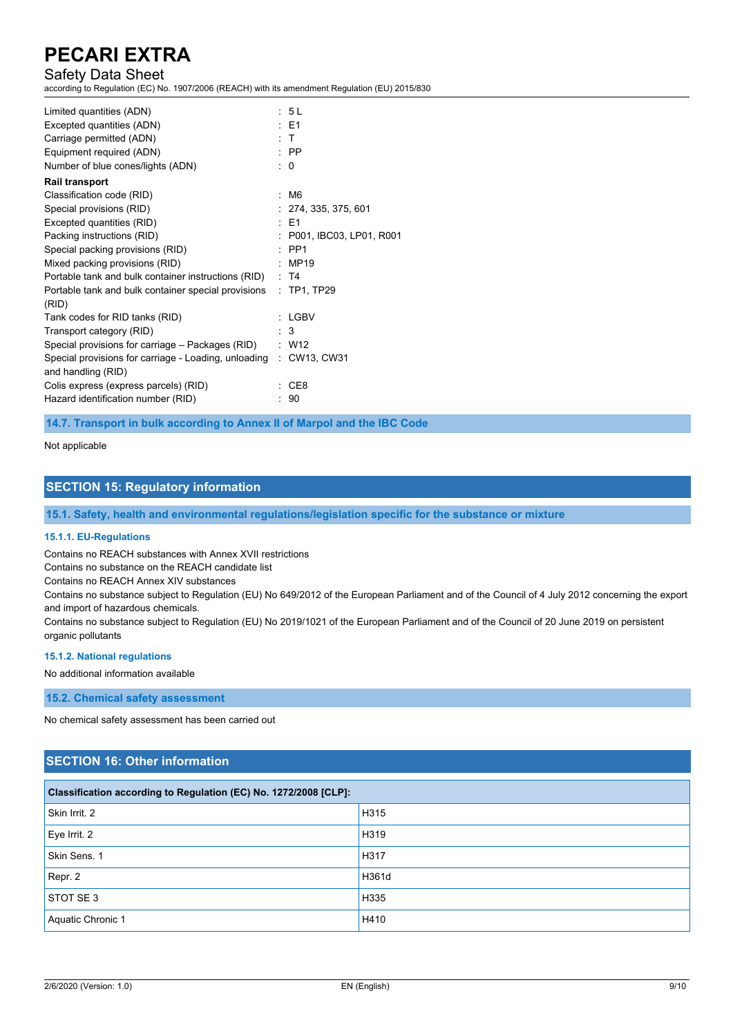# Safety Data Sheet

according to Regulation (EC) No. 1907/2006 (REACH) with its amendment Regulation (EU) 2015/830

| Limited quantities (ADN)                                          | : 5L                      |
|-------------------------------------------------------------------|---------------------------|
| Excepted quantities (ADN)                                         | $\pm$ E1                  |
| Carriage permitted (ADN)                                          | $\cdot$ T                 |
| Equipment required (ADN)                                          | $\therefore$ PP           |
| Number of blue cones/lights (ADN)                                 | $\therefore$ 0            |
| <b>Rail transport</b>                                             |                           |
| Classification code (RID)                                         | : M6                      |
| Special provisions (RID)                                          | : 274, 335, 375, 601      |
| Excepted quantities (RID)                                         | $·$ F1                    |
| Packing instructions (RID)                                        | : P001, IBC03, LP01, R001 |
| Special packing provisions (RID)                                  | $\cdot$ PP1               |
| Mixed packing provisions (RID)                                    | $\therefore$ MP19         |
| Portable tank and bulk container instructions (RID) : T4          |                           |
| Portable tank and bulk container special provisions : TP1, TP29   |                           |
| (RID)                                                             |                           |
| Tank codes for RID tanks (RID)                                    | : LGBV                    |
| Transport category (RID)                                          | $\therefore$ 3            |
| Special provisions for carriage – Packages (RID) : W12            |                           |
| Special provisions for carriage - Loading, unloading : CW13, CW31 |                           |
| and handling (RID)                                                |                           |
| Colis express (express parcels) (RID)                             | CE8                       |
| Hazard identification number (RID)                                | 90                        |
|                                                                   |                           |

**14.7. Transport in bulk according to Annex II of Marpol and the IBC Code**

Not applicable

### **SECTION 15: Regulatory information**

**15.1. Safety, health and environmental regulations/legislation specific for the substance or mixture**

#### **15.1.1. EU-Regulations**

Contains no REACH substances with Annex XVII restrictions

Contains no substance on the REACH candidate list

Contains no REACH Annex XIV substances

Contains no substance subject to Regulation (EU) No 649/2012 of the European Parliament and of the Council of 4 July 2012 concerning the export and import of hazardous chemicals.

Contains no substance subject to Regulation (EU) No 2019/1021 of the European Parliament and of the Council of 20 June 2019 on persistent organic pollutants

#### **15.1.2. National regulations**

No additional information available

**15.2. Chemical safety assessment**

No chemical safety assessment has been carried out

# **SECTION 16: Other information**

| Classification according to Regulation (EC) No. 1272/2008 [CLP]: |       |  |
|------------------------------------------------------------------|-------|--|
| Skin Irrit. 2                                                    | H315  |  |
| Eye Irrit. 2                                                     | H319  |  |
| Skin Sens. 1                                                     | H317  |  |
| Repr. 2                                                          | H361d |  |
| STOT SE 3                                                        | H335  |  |
| Aquatic Chronic 1                                                | H410  |  |